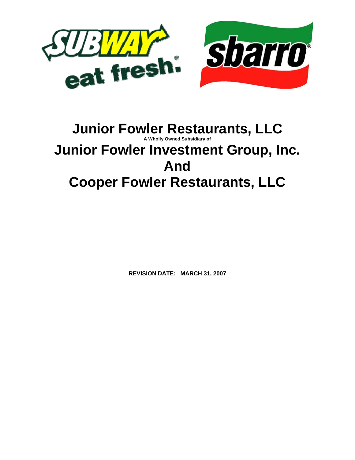

# **Junior Fowler Restaurants, LLC A Wholly Owned Subsidiary of Junior Fowler Investment Group, Inc. And Cooper Fowler Restaurants, LLC**

**REVISION DATE: MARCH 31, 2007**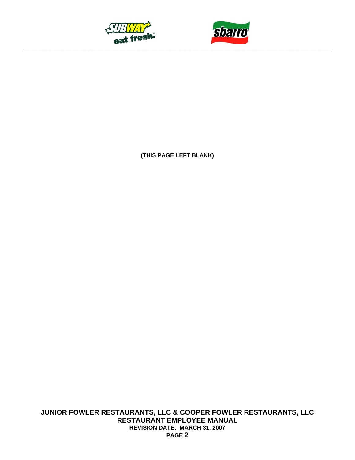



**(THIS PAGE LEFT BLANK)**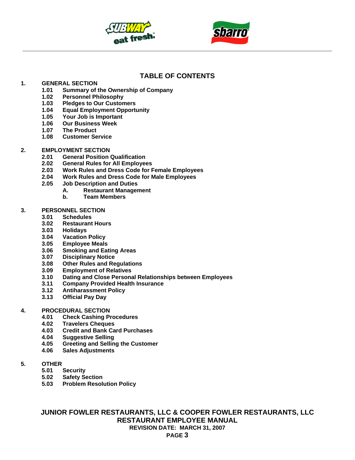



# **TABLE OF CONTENTS**

#### **1. GENERAL SECTION**

- **1.01 Summary of the Ownership of Company**
- **1.02 Personnel Philosophy**
- **1.03 Pledges to Our Customers**
- **Equal Employment Opportunity**
- **1.05 Your Job is Important**
- **1.06 Our Business Week**
- **1.07 The Product**
- **1.08 Customer Service**

#### **2. EMPLOYMENT SECTION**

- **2.01 General Position Qualification**
- **2.02 General Rules for All Employees**
- **2.03 Work Rules and Dress Code for Female Employees**
- **2.04 Work Rules and Dress Code for Male Employees**
- **2.05 Job Description and Duties** 
	- **A. Restaurant Management** 
		- **b. Team Members**
- **3. PERSONNEL SECTION** 
	- **3.01 Schedules**
	- **3.02 Restaurant Hours**
	- **3.03 Holidays**
	- **3.04 Vacation Policy**
	- **3.05 Employee Meals**
	- **3.06 Smoking and Eating Areas**
	- **Disciplinary Notice**
	- **3.08 Other Rules and Regulations**
	- **3.09 Employment of Relatives**
	- **3.10 Dating and Close Personal Relationships between Employees**
	- **3.11 Company Provided Health Insurance**
	- **3.12 Antiharassment Policy**
	- **3.13 Official Pay Day**

#### **4. PROCEDURAL SECTION**

- **4.01 Check Cashing Procedures**
- **4.02 Travelers Cheques**
- **4.03 Credit and Bank Card Purchases**
- **4.04 Suggestive Selling**
- **4.05 Greeting and Selling the Customer**
- **4.06 Sales Adjustments**

#### **5. OTHER**

- **5.01 Security**
- **5.02 Safety Section**
- **5.03 Problem Resolution Policy**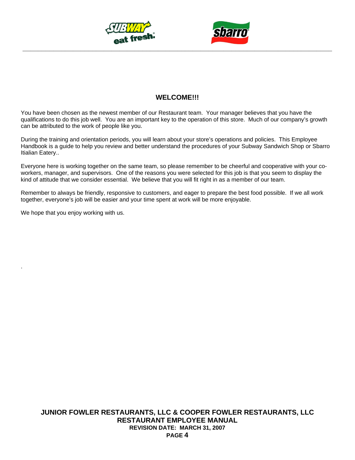



## **WELCOME!!!**

You have been chosen as the newest member of our Restaurant team. Your manager believes that you have the qualifications to do this job well. You are an important key to the operation of this store. Much of our company's growth can be attributed to the work of people like you.

During the training and orientation periods, you will learn about your store's operations and policies. This Employee Handbook is a guide to help you review and better understand the procedures of your Subway Sandwich Shop or Sbarro Itialian Eatery..

Everyone here is working together on the same team, so please remember to be cheerful and cooperative with your coworkers, manager, and supervisors. One of the reasons you were selected for this job is that you seem to display the kind of attitude that we consider essential. We believe that you will fit right in as a member of our team.

Remember to always be friendly, responsive to customers, and eager to prepare the best food possible. If we all work together, everyone's job will be easier and your time spent at work will be more enjoyable.

We hope that you enjoy working with us.

.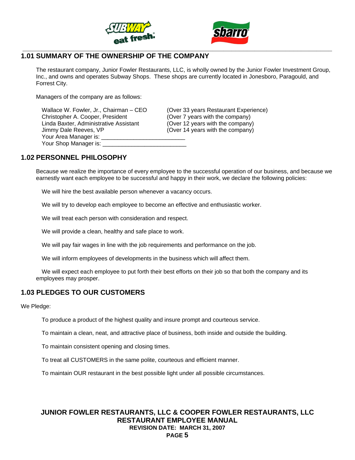



# **1.01 SUMMARY OF THE OWNERSHIP OF THE COMPANY**

The restaurant company, Junior Fowler Restaurants, LLC, is wholly owned by the Junior Fowler Investment Group, Inc., and owns and operates Subway Shops. These shops are currently located in Jonesboro, Paragould, and Forrest City.

Managers of the company are as follows:

| Wallace W. Fowler, Jr., Chairman - CEO | (Over 33 years Restaurant Experience) |
|----------------------------------------|---------------------------------------|
| Christopher A. Cooper, President       | (Over 7 years with the company)       |
| Linda Baxter, Administrative Assistant | (Over 12 years with the company)      |
| Jimmy Dale Reeves, VP                  | (Over 14 years with the company)      |
| Your Area Manager is:                  |                                       |
| Your Shop Manager is:                  |                                       |
|                                        |                                       |

**1.02 PERSONNEL PHILOSOPHY** 

Because we realize the importance of every employee to the successful operation of our business, and because we earnestly want each employee to be successful and happy in their work, we declare the following policies:

We will hire the best available person whenever a vacancy occurs.

We will try to develop each employee to become an effective and enthusiastic worker.

We will treat each person with consideration and respect.

We will provide a clean, healthy and safe place to work.

We will pay fair wages in line with the job requirements and performance on the job.

We will inform employees of developments in the business which will affect them.

We will expect each employee to put forth their best efforts on their job so that both the company and its employees may prosper.

# **1.03 PLEDGES TO OUR CUSTOMERS**

We Pledge:

To produce a product of the highest quality and insure prompt and courteous service.

To maintain a clean, neat, and attractive place of business, both inside and outside the building.

To maintain consistent opening and closing times.

To treat all CUSTOMERS in the same polite, courteous and efficient manner.

To maintain OUR restaurant in the best possible light under all possible circumstances.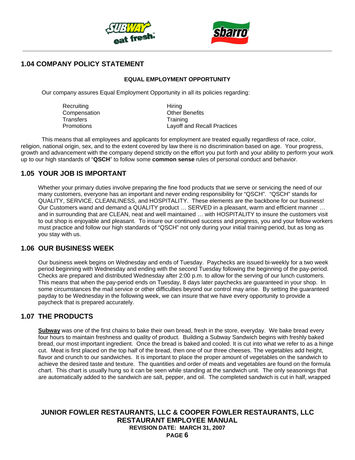



## **1.04 COMPANY POLICY STATEMENT**

#### **EQUAL EMPLOYMENT OPPORTUNITY**

Our company assures Equal Employment Opportunity in all its policies regarding:

Recruiting **Hiring** Transfers Training

**Compensation Compensation Compensation Compensation** Promotions Layoff and Recall Practices

 This means that all employees and applicants for employment are treated equally regardless of race, color, religion, national origin, sex, and to the extent covered by law there is no discrimination based on age. Your progress, growth and advancement with the company depend strictly on the effort you put forth and your ability to perform your work up to our high standards of "**QSCH**" to follow some **common sense** rules of personal conduct and behavior.

## **1.05 YOUR JOB IS IMPORTANT**

Whether your primary duties involve preparing the fine food products that we serve or servicing the need of our many customers, everyone has an important and never ending responsibility for "QSCH". "QSCH" stands for QUALITY, SERVICE, CLEANLINESS, and HOSPITALITY. These elements are the backbone for our business! Our Customers wand and demand a QUALITY product ... SERVED in a pleasant, warm and efficient manner ... and in surrounding that are CLEAN, neat and well maintained … with HOSPITALITY to insure the customers visit to out shop is enjoyable and pleasant. To insure our continued success and progress, you and your fellow workers must practice and follow our high standards of "QSCH" not only during your initial training period, but as long as you stay with us.

## **1.06 OUR BUSINESS WEEK**

Our business week begins on Wednesday and ends of Tuesday. Paychecks are issued bi-weekly for a two week period beginning with Wednesday and ending with the second Tuesday following the beginning of the pay-period. Checks are prepared and distributed Wednesday after 2:00 p.m. to allow for the serving of our lunch customers. This means that when the pay-period ends on Tuesday, 8 days later paychecks are guaranteed in your shop. In some circumstances the mail service or other difficulties beyond our control may arise. By setting the guaranteed payday to be Wednesday in the following week, we can insure that we have every opportunity to provide a paycheck that is prepared accurately.

## **1.07 THE PRODUCTS**

**Subway** was one of the first chains to bake their own bread, fresh in the store, everyday. We bake bread every four hours to maintain freshness and quality of product. Building a Subway Sandwich begins with freshly baked bread, our most important ingredient. Once the bread is baked and cooled. It is cut into what we refer to as a hinge cut. Meat is first placed on the top half of the bread, then one of our three cheeses. The vegetables add height, flavor and crunch to our sandwiches. It is important to place the proper amount of vegetables on the sandwich to achieve the desired taste and texture. The quantities and order of meats and vegetables are found on the formula chart. This chart is usually hung so it can be seen while standing at the sandwich unit. The only seasonings that are automatically added to the sandwich are salt, pepper, and oil. The completed sandwich is cut in half, wrapped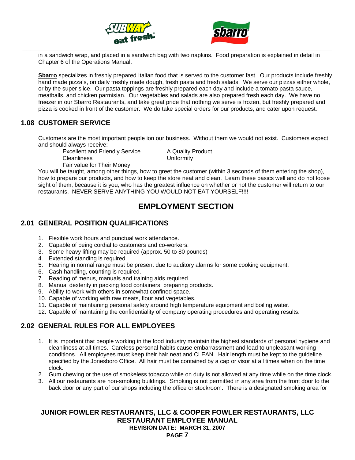



in a sandwich wrap, and placed in a sandwich bag with two napkins. Food preparation is explained in detail in Chapter 6 of the Operations Manual.

**Sbarro** specializes in freshly prepared Italian food that is served to the customer fast. Our products include freshly hand made pizza's, on daily freshly made dough, fresh pasta and fresh salads. We serve our pizzas either whole, or by the super slice. Our pasta toppings are freshly prepared each day and include a tomato pasta sauce, meatballs, and chicken parmisian. Our vegetables and salads are also prepared fresh each day. We have no freezer in our Sbarro Restaurants, and take great pride that nothing we serve is frozen, but freshly prepared and pizza is cooked in front of the customer. We do take special orders for our products, and cater upon request.

## **1.08 CUSTOMER SERVICE**

Customers are the most important people ion our business. Without them we would not exist. Customers expect and should always receive:

Excellent and Friendly Service A Quality Product Cleanliness Uniformity

Fair value for Their Money

You will be taught, among other things, how to greet the customer (within 3 seconds of them entering the shop), how to prepare our products, and how to keep the store neat and clean. Learn these basics well and do not loose sight of them, because it is you, who has the greatest influence on whether or not the customer will return to our restaurants. NEVER SERVE ANYTHING YOU WOULD NOT EAT YOURSELF!!!!

# **EMPLOYMENT SECTION**

## **2.01 GENERAL POSITION QUALIFICATIONS**

- 1. Flexible work hours and punctual work attendance.
- 2. Capable of being cordial to customers and co-workers.
- 3. Some heavy lifting may be required (approx. 50 to 80 pounds)
- 4. Extended standing is required.
- 5. Hearing in normal range must be present due to auditory alarms for some cooking equipment.
- 6. Cash handling, counting is required.
- 7. Reading of menus, manuals and training aids required.
- 8. Manual dexterity in packing food containers, preparing products.
- 9. Ability to work with others in somewhat confined space.
- 10. Capable of working with raw meats, flour and vegetables.
- 11. Capable of maintaining personal safety around high temperature equipment and boiling water.
- 12. Capable of maintaining the confidentiality of company operating procedures and operating results.

# **2.02 GENERAL RULES FOR ALL EMPLOYEES**

- 1. It is important that people working in the food industry maintain the highest standards of personal hygiene and cleanliness at all times. Careless personal habits cause embarrassment and lead to unpleasant working conditions. All employees must keep their hair neat and CLEAN. Hair length must be kept to the guideline specified by the Jonesboro Office. All hair must be contained by a cap or visor at all times when on the time clock.
- 2. Gum chewing or the use of smokeless tobacco while on duty is not allowed at any time while on the time clock.
- 3. All our restaurants are non-smoking buildings. Smoking is not permitted in any area from the front door to the back door or any part of our shops including the office or stockroom. There is a designated smoking area for

#### **JUNIOR FOWLER RESTAURANTS, LLC & COOPER FOWLER RESTAURANTS, LLC RESTAURANT EMPLOYEE MANUAL REVISION DATE: MARCH 31, 2007**

**PAGE 7**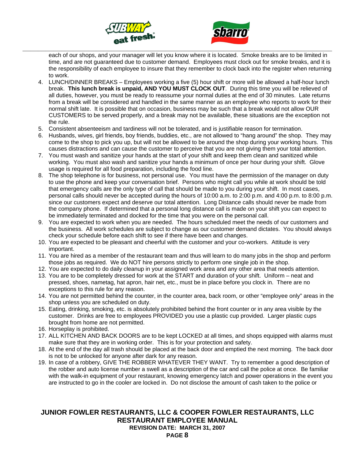



each of our shops, and your manager will let you know where it is located. Smoke breaks are to be limited in time, and are not guaranteed due to customer demand. Employees must clock out for smoke breaks, and it is the responsibility of each employee to insure that they remember to clock back into the register when returning to work.

- 4. LUNCH/DINNER BREAKS Employees working a five (5) hour shift or more will be allowed a half-hour lunch break. **This lunch break is unpaid, AND YOU MUST CLOCK OUT**. During this time you will be relieved of all duties, however, you must be ready to reassume your normal duties at the end of 30 minutes. Late returns from a break will be considered and handled in the same manner as an employee who reports to work for their normal shift late. It is possible that on occasion, business may be such that a break would not allow OUR CUSTOMERS to be served properly, and a break may not be available, these situations are the exception not the rule.
- 5. Consistent absenteeism and tardiness will not be tolerated, and is justifiable reason for termination.
- 6. Husbands, wives, girl friends, boy friends, buddies, etc., are not allowed to "hang around" the shop. They may come to the shop to pick you up, but will not be allowed to be around the shop during your working hours. This causes distractions and can cause the customer to perceive that you are not giving them your total attention.
- 7. You must wash and sanitize your hands at the start of your shift and keep them clean and sanitized while working. You must also wash and sanitize your hands a minimum of once per hour during your shift. Glove usage is required for all food preparation, including the food line.
- 8. The shop telephone is for business, not personal use. You must have the permission of the manager on duty to use the phone and keep your conversation brief. Persons who might call you while at work should be told that emergency calls are the only type of call that should be made to you during your shift. In most cases, personal calls should never be accepted during the hours of 10:00 a.m. to 2:00 p.m. and 4:00 p.m. to 8:00 p.m. since our customers expect and deserve our total attention. Long Distance calls should never be made from the company phone. If determined that a personal long distance call is made on your shift you can expect to be immediately terminated and docked for the time that you were on the personal call.
- 9. You are expected to work when you are needed. The hours scheduled meet the needs of our customers and the business. All work schedules are subject to change as our customer demand dictates. You should always check your schedule before each shift to see if there have been and changes.
- 10. You are expected to be pleasant and cheerful with the customer and your co-workers. Attitude is very important.
- 11. You are hired as a member of the restaurant team and thus will learn to do many jobs in the shop and perform those jobs as required. We do NOT hire persons strictly to perform one single job in the shop.
- 12. You are expected to do daily cleanup in your assigned work area and any other area that needs attention.
- 13. You are to be completely dressed for work at the START and duration of your shift. Uniform neat and pressed, shoes, nametag, hat apron, hair net, etc., must be in place before you clock in. There are no exceptions to this rule for any reason.
- 14. You are not permitted behind the counter, in the counter area, back room, or other "employee only" areas in the shop unless you are scheduled on duty.
- 15. Eating, drinking, smoking, etc. is absolutely prohibited behind the front counter or in any area visible by the customer. Drinks are free to employees PROVIDED you use a plastic cup provided. Larger plastic cups brought from home are not permitted.
- 16. Horseplay is prohibited.
- 17. ALL KITCHEN AND BACK DOORS are to be kept LOCKED at all times, and shops equipped with alarms must make sure that they are in working order. This is for your protection and safety.
- 18. At the end of the day all trash should be placed at the back door and emptied the next morning. The back door is not to be unlocked for anyone after dark for any reason.
- 19. In case of a robbery, GIVE THE ROBBER WHATEVER THEY WANT. Try to remember a good description of the robber and auto license number a swell as a description of the car and call the police at once. Be familiar with the walk-in equipment of your restaurant, knowing emergency latch and power operations in the event you are instructed to go in the cooler are locked in. Do not disclose the amount of cash taken to the police or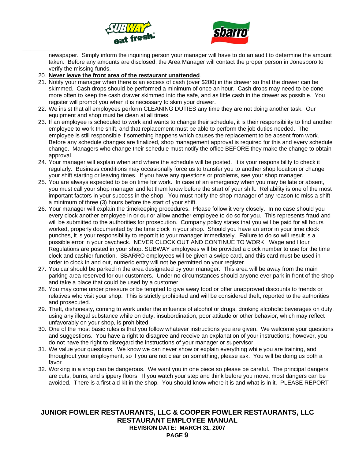



**\_\_\_\_\_\_\_\_\_\_\_\_\_\_\_\_\_\_\_\_\_\_\_\_\_\_\_\_\_\_\_\_\_\_\_\_\_\_\_\_\_\_\_\_\_\_\_\_\_\_\_\_\_\_\_\_\_\_\_\_\_\_\_\_\_\_\_\_\_\_\_\_\_\_\_\_\_\_\_\_**  newspaper. Simply inform the inquiring person your manager will have to do an audit to determine the amount taken. Before any amounts are disclosed, the Area Manager will contact the proper person in Jonesboro to verify the missing funds.

#### 20. **Never leave the front area of the restaurant unattended**.

- 21. Notify your manager when there is an excess of cash (over \$200) in the drawer so that the drawer can be skimmed. Cash drops should be performed a minimum of once an hour. Cash drops may need to be done more often to keep the cash drawer skimmed into the safe, and as little cash in the drawer as possible. You register will prompt you when it is necessary to skim your drawer.
- 22. We insist that all employees perform CLEANING DUTIES any time they are not doing another task. Our equipment and shop must be clean at all times.
- 23. If an employee is scheduled to work and wants to change their schedule, it is their responsibility to find another employee to work the shift, and that replacement must be able to perform the job duties needed. The employee is still responsible if something happens which causes the replacement to be absent from work. Before any schedule changes are finalized, shop management approval is required for this and every schedule change. Managers who change their schedule must notify the office BEFORE they make the change to obtain approval.
- 24. Your manager will explain when and where the schedule will be posted. It is your responsibility to check it regularly. Business conditions may occasionally force us to transfer you to another shop location or change your shift starting or leaving times. If you have any questions or problems, see your shop manager.
- 25. You are always expected to be on time for work. In case of an emergency when you may be late or absent, you must call your shop manager and let them know before the start of your shift. Reliability is one of the most important factors in your success in the shop. You must notify the shop manager of any reason to miss a shift a minimum of three (3) hours before the start of your shift.
- 26. Your manager will explain the timekeeping procedures. Please follow it very closely. In no case should you every clock another employee in or our or allow another employee to do so for you. This represents fraud and will be submitted to the authorities for prosecution. Company policy states that you will be paid for all hours worked, properly documented by the time clock in your shop. Should you have an error in your time clock punches, it is your responsibility to report it to your manager immediately. Failure to do so will result is a possible error in your paycheck. NEVER CLOCK OUT AND CONTINUE TO WORK. Wage and Hour Regulations are posted in your shop. SUBWAY employees will be provided a clock number to use for the time clock and cashier function. SBARRO employees will be given a swipe card, and this card must be used in order to clock in and out, numeric entry will not be permitted on your register.
- 27. You car should be parked in the area designated by your manager. This area will be away from the main parking area reserved for our customers. Under no circumstances should anyone ever park in front of the shop and take a place that could be used by a customer.
- 28. You may come under pressure or be tempted to give away food or offer unapproved discounts to friends or relatives who visit your shop. This is strictly prohibited and will be considered theft, reported to the authorities and prosecuted.
- 29. Theft, dishonesty, coming to work under the influence of alcohol or drugs, drinking alcoholic beverages on duty, using any illegal substance while on duty, insubordination, poor attitude or other behavior, which may reflect unfavorably on your shop, is prohibited.
- 30. One of the most basic rules is that you follow whatever instructions you are given. We welcome your questions and suggestions. You have a right to disagree and receive an explanation of your instructions; however, you do not have the right to disregard the instructions of your manager or supervisor.
- 31. We value your questions. We know we can never show or explain everything while you are training, and throughout your employment, so if you are not clear on something, please ask. You will be doing us both a favor.
- 32. Working in a shop can be dangerous. We want you in one piece so please be careful. The principal dangers are cuts, burns, and slippery floors. If you watch your step and think before you move, most dangers can be avoided. There is a first aid kit in the shop. You should know where it is and what is in it. PLEASE REPORT

# **JUNIOR FOWLER RESTAURANTS, LLC & COOPER FOWLER RESTAURANTS, LLC RESTAURANT EMPLOYEE MANUAL REVISION DATE: MARCH 31, 2007**

**PAGE 9**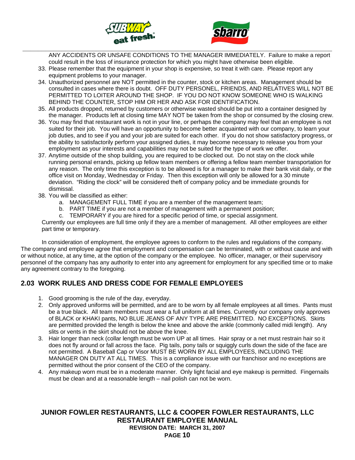



ANY ACCIDENTS OR UNSAFE CONDITIONS TO THE MANAGER IMMEDIATELY. Failure to make a report could result in the loss of insurance protection for which you might have otherwise been eligible.

- 33. Please remember that the equipment in your shop is expensive, so treat it with care. Please report any equipment problems to your manager.
- 34. Unauthorized personnel are NOT permitted in the counter, stock or kitchen areas. Management should be consulted in cases where there is doubt. OFF DUTY PERSONEL, FRIENDS, AND RELATIVES WILL NOT BE PERMITTED TO LOITER AROUND THE SHOP. IF YOU DO NOT KNOW SOMEONE WHO IS WALKING BEHIND THE COUNTER, STOP HIM OR HER AND ASK FOR IDENTIFICATION.
- 35. All products dropped, returned by customers or otherwise wasted should be put into a container designed by the manager. Products left at closing time MAY NOT be taken from the shop or consumed by the closing crew.
- 36. You may find that restaurant work is not in your line, or perhaps the company may feel that an employee is not suited for their job. You will have an opportunity to become better acquainted with our company, to learn your job duties, and to see if you and your job are suited for each other. If you do not show satisfactory progress, or the ability to satisfactorily perform your assigned duties, it may become necessary to release you from your employment as your interests and capabilities may not be suited for the type of work we offer.
- 37. Anytime outside of the shop building, you are required to be clocked out. Do not stay on the clock while running personal errands, picking up fellow team members or offering a fellow team member transportation for any reason. The only time this exception is to be allowed is for a manager to make their bank visit daily, or the office visit on Monday, Wednesday or Friday. Then this exception will only be allowed for a 30 minute deviation. "Riding the clock" will be considered theft of company policy and be immediate grounds for dismissal.
- 38. You will be classified as either:
	- a. MANAGEMENT FULL TIME if you are a member of the management team;
	- b. PART TIME if you are not a member of management with a permanent position;
	- c. TEMPORARY if you are hired for a specific period of time, or special assignment.

Currently our employees are full time only if they are a member of management. All other employees are either part time or temporary.

 In consideration of employment, the employee agrees to conform to the rules and regulations of the company. The company and employee agree that employment and compensation can be terminated, with or without cause and with or without notice, at any time, at the option of the company or the employee. No officer, manager, or their supervisory personnel of the company has any authority to enter into any agreement for employment for any specified time or to make any agreement contrary to the foregoing.

## **2.03 WORK RULES AND DRESS CODE FOR FEMALE EMPLOYEES**

- 1. Good grooming is the rule of the day, everyday.
- 2. Only approved uniforms will be permitted, and are to be worn by all female employees at all times. Pants must be a true black. All team members must wear a full uniform at all times. Currently our company only approves of BLACK or KHAKI pants, NO BLUE JEANS OF ANY TYPE ARE PREMITTED. NO EXCEPTIONS. Skirts are permitted provided the length is below the knee and above the ankle (commonly called midi length). Any slits or vents in the skirt should not be above the knee.
- 3. Hair longer than neck (collar length must be worn UP at all times. Hair spray or a net must restrain hair so it does not fly around or fall across the face. Pig tails, pony tails or squiggly curls down the side of the face are not permitted. A Baseball Cap or Visor MUST BE WORN BY ALL EMPLOYEES, INCLUDING THE MANAGER ON DUTY AT ALL TIMES. This is a compliance issue with our franchisor and no exceptions are permitted without the prior consent of the CEO of the company.
- 4. Any makeup worn must be in a moderate manner. Only light facial and eye makeup is permitted. Fingernails must be clean and at a reasonable length – nail polish can not be worn.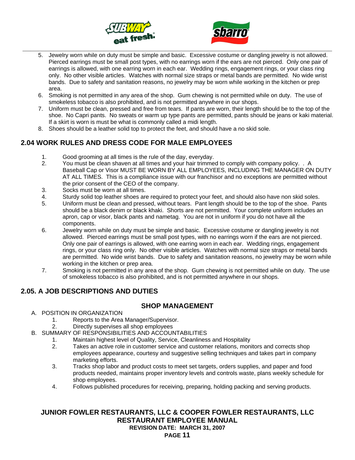



- **\_\_\_\_\_\_\_\_\_\_\_\_\_\_\_\_\_\_\_\_\_\_\_\_\_\_\_\_\_\_\_\_\_\_\_\_\_\_\_\_\_\_\_\_\_\_\_\_\_\_\_\_\_\_\_\_\_\_\_\_\_\_\_\_\_\_\_\_\_\_\_\_\_\_\_\_\_\_\_\_**  5. Jewelry worn while on duty must be simple and basic. Excessive costume or dangling jewelry is not allowed. Pierced earrings must be small post types, with no earrings worn if the ears are not pierced. Only one pair of earrings is allowed, with one earring worn in each ear. Wedding rings, engagement rings, or your class ring only. No other visible articles. Watches with normal size straps or metal bands are permitted. No wide wrist bands. Due to safety and sanitation reasons, no jewelry may be worn while working in the kitchen or prep area.
	- 6. Smoking is not permitted in any area of the shop. Gum chewing is not permitted while on duty. The use of smokeless tobacco is also prohibited, and is not permitted anywhere in our shops.
	- 7. Uniform must be clean, pressed and free from tears. If pants are worn, their length should be to the top of the shoe. No Capri pants. No sweats or warm up type pants are permitted, pants should be jeans or kaki material. If a skirt is worn is must be what is commonly called a midi length.
	- 8. Shoes should be a leather solid top to protect the feet, and should have a no skid sole.

# **2.04 WORK RULES AND DRESS CODE FOR MALE EMPLOYEES**

- 1. Good grooming at all times is the rule of the day, everyday.<br>2. You must be clean shaven at all times and your hair trimme
- You must be clean shaven at all times and your hair trimmed to comply with company policy. . A Baseball Cap or Visor MUST BE WORN BY ALL EMPLOYEES, INCLUDING THE MANAGER ON DUTY AT ALL TIMES. This is a compliance issue with our franchisor and no exceptions are permitted without the prior consent of the CEO of the company.
- 3. Socks must be worn at all times.
- 4. Sturdy solid top leather shoes are required to protect your feet, and should also have non skid soles.
- 5. Uniform must be clean and pressed, without tears. Pant length should be to the top of the shoe. Pants should be a black denim or black khaki. Shorts are not permitted. Your complete uniform includes an apron, cap or visor, black pants and nametag. You are not in uniform if you do not have all the components.
- 6. Jewelry worn while on duty must be simple and basic. Excessive costume or dangling jewelry is not allowed. Pierced earrings must be small post types, with no earrings worn if the ears are not pierced. Only one pair of earrings is allowed, with one earring worn in each ear. Wedding rings, engagement rings, or your class ring only. No other visible articles. Watches with normal size straps or metal bands are permitted. No wide wrist bands. Due to safety and sanitation reasons, no jewelry may be worn while working in the kitchen or prep area.
- 7. Smoking is not permitted in any area of the shop. Gum chewing is not permitted while on duty. The use of smokeless tobacco is also prohibited, and is not permitted anywhere in our shops.

## **2.05. A JOB DESCRIPTIONS AND DUTIES**

## **SHOP MANAGEMENT**

- A. POSITION IN ORGANIZATION
	- 1. Reports to the Area Manager/Supervisor.
	- 2. Directly supervises all shop employees
- B. SUMMARY OF RESPONSIBILITIES AND ACCOUNTABILITIES
	- 1. Maintain highest level of Quality, Service, Cleanliness and Hospitality
	- 2. Takes an active role in customer service and customer relations, monitors and corrects shop employees appearance, courtesy and suggestive selling techniques and takes part in company marketing efforts.
	- 3. Tracks shop labor and product costs to meet set targets, orders supplies, and paper and food products needed, maintains proper inventory levels and controls waste, plans weekly schedule for shop employees.
	- 4. Follows published procedures for receiving, preparing, holding packing and serving products.

#### **JUNIOR FOWLER RESTAURANTS, LLC & COOPER FOWLER RESTAURANTS, LLC RESTAURANT EMPLOYEE MANUAL REVISION DATE: MARCH 31, 2007**

**PAGE 11**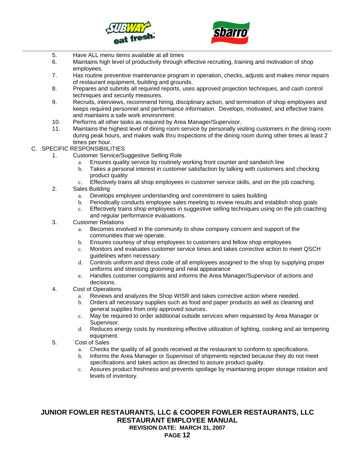



- 5. Have ALL menu items available at all times
- 6. Maintains high level of productivity through effective recruiting, training and motivation of shop employees.
- 7. Has routine preventive maintenance program in operation, checks, adjusts and makes minor repairs of restaurant equipment, building and grounds.
- 8. Prepares and submits all required reports, uses approved projection techniques, and cash control techniques and security measures.
- 9. Recruits, interviews, recommend hiring, disciplinary action, and termination of shop employees and keeps required personnel and performance information. Develops, motivated, and effective trains and maintains a safe work environment.
- 10. Performs all other tasks as required by Area Manager/Supervisor.
- 11. Maintains the highest level of dining room service by personally visiting customers in the dining room during peak hours, and makes walk thru inspections of the dining room during other times at least 2 times per hour.

#### C. SPECIFIC RESPONSIBIILITIES

- 1. Customer Service/Suggestive Selling Role
	- a. Ensures quality service by routinely working front counter and sandwich line
	- b. Takes a personal interest in customer satisfaction by talking with customers and checking product quality
	- c. Effectively trains all shop employees in customer service skills, and on the job coaching.
- 2. Sales Building
	- a. Develops employee understanding and commitment to sales building
	- b. Periodically conducts employee sales meeting to review results and establish shop goals
	- c. Effectively trains shop employees in suggestive selling techniques using on the job coaching and regular performance evaluations.
- 3. Customer Relations
	- a. Becomes involved in the community to show company concern and support of the communities that we operate.
	- b. Ensures courtesy of shop employees to customers and fellow shop employees
	- c. Monitors and evaluates customer service times and takes corrective action to meet QSCH guidelines when necessary
	- d. Controls uniform and dress code of all employees assigned to the shop by supplying proper uniforms and stressing grooming and neat appearance
	- e. Handles customer complaints and informs the Area Manager/Supervisor of actions and decisions.
- 4. Cost of Operations
	- a. Reviews and analyzes the Shop WISR and takes corrective action where needed.
	- b. Orders all necessary supplies such as food and paper products as well as cleaning and general supplies from only approved sources.
	- c. May be required to order additional outside services when requested by Area Manager or Supervisor.
	- d. Reduces energy costs by monitoring effective utilization of lighting, cooking and air tempering equipment.
- 5. `Cost of Sales
	- a. Checks the quality of all goods received at the restaurant to conform to specifications.
	- b. Informs the Area Manager or Supervisor of shipments rejected because they do not meet specifications and takes action as directed to assure product quality.
	- c. Assures product freshness and prevents spoilage by maintaining proper storage rotation and levels of inventory.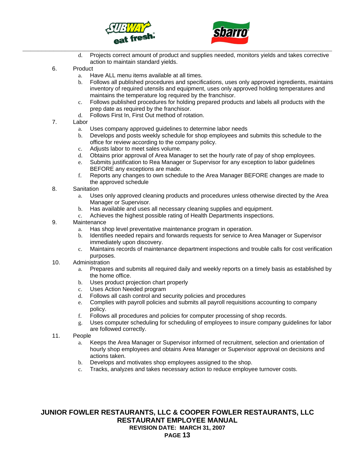



- d. Projects correct amount of product and supplies needed, monitors yields and takes corrective action to maintain standard yields.
- 6. Product
	- a. Have ALL menu items available at all times.
	- b. Follows all published procedures and specifications, uses only approved ingredients, maintains inventory of required utensils and equipment, uses only approved holding temperatures and maintains the temperature log required by the franchisor.
	- c. Follows published procedures for holding prepared products and labels all products with the prep date as required by the franchisor.
	- d. Follows First In, First Out method of rotation.
- 7. Labor
	- a. Uses company approved guidelines to determine labor needs
	- b. Develops and posts weekly schedule for shop employees and submits this schedule to the office for review according to the company policy.
	- c. Adjusts labor to meet sales volume.
	- d. Obtains prior approval of Area Manager to set the hourly rate of pay of shop employees.
	- e. Submits justification to Rea Manager or Supervisor for any exception to labor guidelines BEFORE any exceptions are made.
	- f. Reports any changes to own schedule to the Area Manager BEFORE changes are made to the approved schedule
- 8. Sanitation
	- a. Uses only approved cleaning products and procedures unless otherwise directed by the Area Manager or Supervisor.
	- b. Has available and uses all necessary cleaning supplies and equipment.
	- c. Achieves the highest possible rating of Health Departments inspections.
- 9. Maintenance
	- a. Has shop level preventative maintenance program in operation.
	- b. Identifies needed repairs and forwards requests for service to Area Manager or Supervisor immediately upon discovery.
	- c. Maintains records of maintenance department inspections and trouble calls for cost verification purposes.
- 10. Administration
	- a. Prepares and submits all required daily and weekly reports on a timely basis as established by the home office.
	- b. Uses product projection chart properly
	- c. Uses Action Needed program
	- d. Follows all cash control and security policies and procedures
	- e. Complies with payroll policies and submits all payroll requisitions accounting to company policy.
	- f. Follows all procedures and policies for computer processing of shop records.
	- g. Uses computer scheduling for scheduling of employees to insure company guidelines for labor are followed correctly.
- 11. People
	- a. Keeps the Area Manager or Supervisor informed of recruitment, selection and orientation of hourly shop employees and obtains Area Manager or Supervisor approval on decisions and actions taken.
	- b. Develops and motivates shop employees assigned to the shop.
	- c. Tracks, analyzes and takes necessary action to reduce employee turnover costs.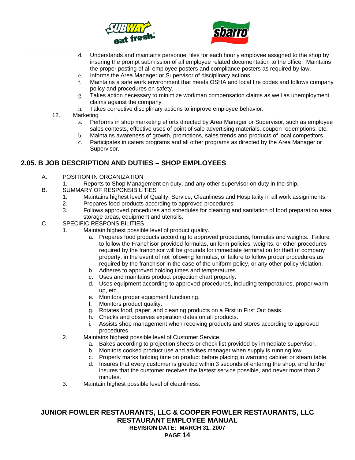



- **\_\_\_\_\_\_\_\_\_\_\_\_\_\_\_\_\_\_\_\_\_\_\_\_\_\_\_\_\_\_\_\_\_\_\_\_\_\_\_\_\_\_\_\_\_\_\_\_\_\_\_\_\_\_\_\_\_\_\_\_\_\_\_\_\_\_\_\_\_\_\_\_\_\_\_\_\_\_\_\_**  d. Understands and maintains personnel files for each hourly employee assigned to the shop by insuring the prompt submission of all employee related documentation to the office. Maintains the proper posting of all employee posters and compliance posters as required by law.
	- e. Informs the Area Manager or Supervisor of disciplinary actions.
	- f. Maintains a safe work environment that meets OSHA and local fire codes and follows company policy and procedures on safety.
	- g. Takes action necessary to minimize workman compensation claims as well as unemployment claims against the company
	- h. Takes corrective disciplinary actions to improve employee behavior.
	- 12. Marketing
		- a. Performs in shop marketing efforts directed by Area Manager or Supervisor, such as employee sales contests, effective uses of point of sale advertising materials, coupon redemptions, etc.
		- b. Maintains awareness of growth, promotions, sales trends and products of local competitors.
		- c. Participates in caters programs and all other programs as directed by the Area Manager or Supervisor.

## **2.05. B JOB DESCRIPTION AND DUTIES – SHOP EMPLOYEES**

- A. POSITION IN ORGANIZATION
	- 1. Reports to Shop Management on duty, and any other supervisor on duty in the ship.
- B. SUMMARY OF RESPONSIBILITIES
	- 1. Maintains highest level of Quality, Service, Cleanliness and Hospitality in all work assignments.
	- 2. Prepares food products according to approved procedures.
	- 3. Follows approved procedures and schedules for cleaning and sanitation of food preparation area, storage areas, equipment and utensils.
- C. SPECIFIC RESPONSIBILITIES
	- 1. Maintain highest possible level of product quality.
		- a. Prepares food products according to approved procedures, formulas and weights. Failure to follow the Franchisor provided formulas, uniform policies, weights, or other procedures required by the franchisor will be grounds for immediate termination for theft of company property, in the event of not following formulas, or failure to follow proper procedures as required by the franchisor in the case of the uniform policy, or any other policy violation.
		- b. Adheres to approved holding times and temperatures.
		- c. Uses and maintains product projection chart properly.
		- d. Uses equipment according to approved procedures, including temperatures, proper warm up, etc.,
		- e. Monitors proper equipment functioning.
		- f. Monitors product quality.
		- g. Rotates food, paper, and cleaning products on a First In First Out basis.
		- h. Checks and observes expiration dates on all products.
		- i. Assists shop management when receiving products and stores according to approved procedures.
	- 2. Maintains highest possible level of Customer Service.
		- a. Bakes according to projection sheets or check list provided by immediate supervisor.
		- b. Monitors cooked product use and advises manager when supply is running low.
		- c. Properly marks holding time on product before placing in warming cabinet or steam table.
		- d. Insures that every customer is greeted within 3 seconds of entering the shop, and further insures that the customer receives the fastest service possible, and never more than 2 minutes.
	- 3. Maintain highest possible level of cleanliness.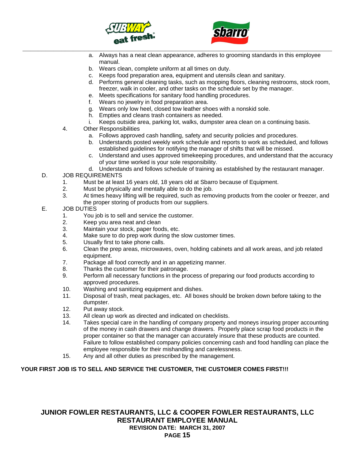



- a. Always has a neat clean appearance, adheres to grooming standards in this employee manual.
- b. Wears clean, complete uniform at all times on duty.
- c. Keeps food preparation area, equipment and utensils clean and sanitary.
- d. Performs general cleaning tasks, such as mopping floors, cleaning restrooms, stock room, freezer, walk in cooler, and other tasks on the schedule set by the manager.
- e. Meets specifications for sanitary food handling procedures.
- f. Wears no jewelry in food preparation area.
- g. Wears only low heel, closed tow leather shoes with a nonskid sole.
- h. Empties and cleans trash containers as needed.
- i. Keeps outside area, parking lot, walks, dumpster area clean on a continuing basis.
- 4. Other Responsibilities
	- a. Follows approved cash handling, safety and security policies and procedures.
	- b. Understands posted weekly work schedule and reports to work as scheduled, and follows established guidelines for notifying the manager of shifts that will be missed.
	- c. Understand and uses approved timekeeping procedures, and understand that the accuracy of your time worked is your sole responsibility.
	- d. Understands and follows schedule of training as established by the restaurant manager.
- D. JOB REQUIREMENTS
	- 1. Must be at least 16 years old, 18 years old at Sbarro because of Equipment.
	- 2. Must be physically and mentally able to do the job.
	- 3. At times heavy lifting will be required, such as removing products from the cooler or freezer, and the proper storing of products from our suppliers.
- E. JOB DUTIES
	- 1. You job is to sell and service the customer.
	- 2. Keep you area neat and clean
	- 3. Maintain your stock, paper foods, etc.
	- 4. Make sure to do prep work during the slow customer times.
	- 5. Usually first to take phone calls.
	- 6. Clean the prep areas, microwaves, oven, holding cabinets and all work areas, and job related equipment.
	- 7. Package all food correctly and in an appetizing manner.
	- 8. Thanks the customer for their patronage.
	- 9. Perform all necessary functions in the process of preparing our food products according to approved procedures.
	- 10. Washing and sanitizing equipment and dishes.
	- 11. Disposal of trash, meat packages, etc. All boxes should be broken down before taking to the dumpster.
	- 12. Put away stock.
	- 13. All clean up work as directed and indicated on checklists.
	- 14. Takes special care in the handling of company property and moneys insuring proper accounting of the money in cash drawers and change drawers. Properly place scrap food products in the proper container so that the manager can accurately insure that these products are counted. Failure to follow established company policies concerning cash and food handling can place the employee responsible for their mishandling and carelessness.
	- 15. Any and all other duties as prescribed by the management.

#### **YOUR FIRST JOB IS TO SELL AND SERVICE THE CUSTOMER, THE CUSTOMER COMES FIRST!!!**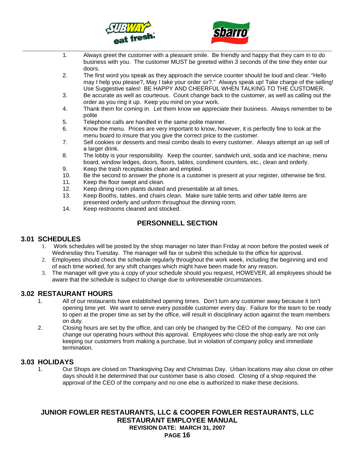



- **\_\_\_\_\_\_\_\_\_\_\_\_\_\_\_\_\_\_\_\_\_\_\_\_\_\_\_\_\_\_\_\_\_\_\_\_\_\_\_\_\_\_\_\_\_\_\_\_\_\_\_\_\_\_\_\_\_\_\_\_\_\_\_\_\_\_\_\_\_\_\_\_\_\_\_\_\_\_\_\_**  1. Always greet the customer with a pleasant smile. Be friendly and happy that they cam in to do business with you. The customer MUST be greeted within 3 seconds of the time they enter our doors.
	- 2. The first word you speak as they approach the service counter should be loud and clear. "Hello may I help you please?, May I take your order sir?." Always speak up! Take charge of the selling! Use Suggestive sales! BE HAPPY AND CHEERFUL WHEN TALKING TO THE CUSTOMER.
	- 3. Be accurate as well as courteous. Count change back to the customer, as well as calling out the order as you ring it up. Keep you mind on your work.
	- 4. Thank them for coming in. Let them know we appreciate their business. Always remember to be polite
	- 5. Telephone calls are handled in the same polite manner.
	- 6. Know the menu. Prices are very important to know, however, it is perfectly fine to look at the menu board to insure that you give the correct price to the customer.
	- 7. Sell cookies or desserts and meal combo deals to every customer. Always attempt an up sell of a larger drink.
	- 8. The lobby is your responsibility. Keep the counter, sandwich unit, soda and ice machine, menu board, window ledges, doors, floors, tables, condiment counters, etc., clean and orderly.
	- 9. Keep the trash receptacles clean and emptied.
	- 10. Be the second to answer the phone is a customer is present at your register, otherwise be first.
	- 11. Keep the floor swept and clean.
	- 12. Keep dining room plants dusted and presentable at all times.
	- 13. Keep Booths, tables, and chairs clean. Make sure table tents and other table items are presented orderly and uniform throughout the dinning room.
	- 14. Keep restrooms cleaned and stocked.

## **PERSONNELL SECTION**

## **3.01 SCHEDULES**

- 1. Work schedules will be posted by the shop manager no later than Friday at noon before the posted week of Wednesday thru Tuesday. The manager will fax or submit this schedule to the office for approval.
- 2. Employees should check the schedule regularly throughout the work week, including the beginning and end of each time worked, for any shift changes which might have been made for any reason.
- 3. The manager will give you a copy of your schedule should you request, HOWEVER, all employees should be aware that the schedule is subject to change due to unforeseeable circumstances.

## **3.02 RESTAURANT HOURS**

- 1. All of our restaurants have established opening times. Don't turn any customer away because it isn't opening time yet. We want to serve every possible customer every day. Failure for the team to be ready to open at the proper time as set by the office, will result in disciplinary action against the team members on duty.
- 2. Closing hours are set by the office, and can only be changed by the CEO of the company. No one can change our operating hours without this approval. Employees who close the shop early are not only keeping our customers from making a purchase, but in violation of company policy and immediate termination.

## **3.03 HOLIDAYS**

1. Our Shops are closed on Thanksgiving Day and Christmas Day. Urban locations may also close on other days should it be determined that our customer base is also closed. Closing of a shop required the approval of the CEO of the company and no one else is authorized to make these decisions.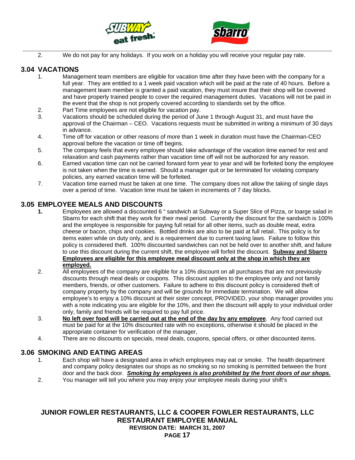



**\_\_\_\_\_\_\_\_\_\_\_\_\_\_\_\_\_\_\_\_\_\_\_\_\_\_\_\_\_\_\_\_\_\_\_\_\_\_\_\_\_\_\_\_\_\_\_\_\_\_\_\_\_\_\_\_\_\_\_\_\_\_\_\_\_\_\_\_\_\_\_\_\_\_\_\_\_\_\_\_**  2. We do not pay for any holidays. If you work on a holiday you will receive your regular pay rate.

## **3.04 VACATIONS**

- 1. Management team members are eligible for vacation time after they have been with the company for a full year. They are entitled to a 1 week paid vacation which will be paid at the rate of 40 hours. Before a management team member is granted a paid vacation, they must insure that their shop will be covered and have properly trained people to cover the required management duties. Vacations will not be paid in the event that the shop is not properly covered according to standards set by the office.
- 2. Part Time employees are not eligible for vacation pay.
- 3. Vacations should be scheduled during the period of June 1 through August 31, and must have the approval of the Chairman – CEO. Vacations requests must be submitted in writing a minimum of 30 days in advance.
- 4. Time off for vacation or other reasons of more than 1 week in duration must have the Chairman-CEO approval before the vacation or time off begins.
- 5. The company feels that every employee should take advantage of the vacation time earned for rest and relaxation and cash payments rather than vacation time off will not be authorized for any reason.
- 6. Earned vacation time can not be carried forward form year to year and will be forfeited bony the employee is not taken when the time is earned. Should a manager quit or be terminated for violating company policies, any earned vacation time will be forfeited.
- 7. Vacation time earned must be taken at one time. The company does not allow the taking of single days over a period of time. Vacation time must be taken in increments of 7 day blocks.

## **3.05 EMPLOYEE MEALS AND DISCOUNTS**

- **1.** Employees are allowed a discounted 6 " sandwich at Subway or a Super Slice of Pizza, or loarge salad in Sbarro for each shift that they work for their meal period. Currently the discount for the sandwich is 100% and the employee is responsible for paying full retail for all other items, such as double meat, extra cheese or bacon, chips and cookies. Bottled drinks are also to be paid at full retail.. This policy is for items eaten while on duty only, and is a requirement due to current taxing laws. Failure to follow this policy is considered theft. 100% discounted sandwiches can not be held over to another shift, and failure to use this discount during the current shift, the employee will forfeit the discount. **Subway and Sbarro Employees are eligible for this employee meal discount only at the shop in which they are employed.**
- 2. All employees of the company are eligible for a 10% discount on all purchases that are not previously discounts through meal deals or coupons. This discount applies to the employee only and not family members, friends, or other customers. Failure to adhere to this discount policy is considered theft of company property by the company and will be grounds for immediate termination. We will allow employee's to enjoy a 10% discount at their sister concept, PROVIDED, your shop manager provides you with a note indicating you are eligible for the 10%, and then the discount will apply to your individual order only, family and friends will be required to pay full price.
- 3. **No left over food will be carried out at the end of the day by any employee**. Any food carried out must be paid for at the 10% discounted rate with no exceptions, otherwise it should be placed in the appropriate container for verification of the manager,
- 4. There are no discounts on specials, meal deals, coupons, special offers, or other discounted items.

## **3.06 SMOKING AND EATING AREAS**

- 1. Each shop will have a designated area in which employees may eat or smoke. The health department and company policy designates our shops as no smoking so no smoking is permitted between the front door and the back door. *Smoking by employees is also prohibited by the front doors of our shops.*
- 2. You manager will tell you where you may enjoy your employee meals during your shift's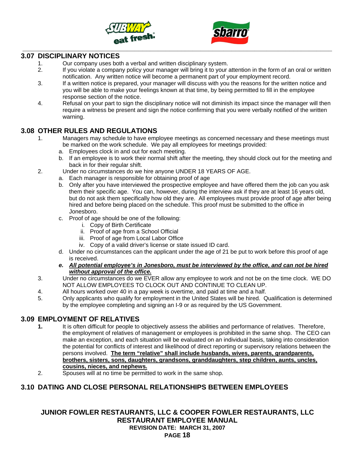



## **3.07 DISCIPLINARY NOTICES**

- 1. Our company uses both a verbal and written disciplinary system.
- 2. If you violate a company policy your manager will bring it to your attention in the form of an oral or written notification. Any written notice will become a permanent part of your employment record.
- 3. If a written notice is prepared, your manager will discuss with you the reasons for the written notice and you will be able to make your feelings known at that time, by being permitted to fill in the employee response section of the notice.
- 4. Refusal on your part to sign the disciplinary notice will not diminish its impact since the manager will then require a witness be present and sign the notice confirming that you were verbally notified of the written warning.

## **3.08 OTHER RULES AND REGULATIONS**

- 1. Managers may schedule to have employee meetings as concerned necessary and these meetings must be marked on the work schedule. We pay all employees for meetings provided:
	- a. Employees clock in and out for each meeting.
	- b. If an employee is to work their normal shift after the meeting, they should clock out for the meeting and back in for their regular shift.
- 2. Under no circumstances do we hire anyone UNDER 18 YEARS OF AGE.
	- a. Each manager is responsible for obtaining proof of age
	- b. Only after you have interviewed the prospective employee and have offered them the job can you ask them their specific age. You can, however, during the interview ask if they are at least 16 years old, but do not ask them specifically how old they are. All employees must provide proof of age after being hired and before being placed on the schedule. This proof must be submitted to the office in Jonesboro.
	- c. Proof of age should be one of the following:
		- i. Copy of Birth Certificate
		- ii. Proof of age from a School Official
		- iii. Proof of age from Local Labor Office
		- iv. Copy of a valid driver's license or state issued ID card.
	- d. Under no circumstances can the applicant under the age of 21 be put to work before this proof of age is received.
	- *e. All potential employee's in Jonesboro, must be interviewed by the office, and can not be hired without approval of the office.*
- 3. Under no circumstances do we EVER allow any employee to work and not be on the time clock. WE DO NOT ALLOW EMPLOYEES TO CLOCK OUT AND CONTINUE TO CLEAN UP.
- 4. All hours worked over 40 in a pay week is overtime, and paid at time and a half.
- 5. Only applicants who qualify for employment in the United States will be hired. Qualification is determined by the employee completing and signing an I-9 or as required by the US Government.

## **3.09 EMPLOYMENT OF RELATIVES**

- **1.** It is often difficult for people to objectively assess the abilities and performance of relatives. Therefore, the employment of relatives of management or employees is prohibited in the same shop. The CEO can make an exception, and each situation will be evaluated on an individual basis, taking into consideration the potential for conflicts of interest and likelihood of direct reporting or supervisory relations between the persons involved. **The term "relative" shall include husbands, wives, parents, grandparents, brothers, sisters, sons, daughters, grandsons, granddaughters, step children, aunts, uncles, cousins, nieces, and nephews.**
- 2. Spouses will at no time be permitted to work in the same shop.

# **3.10 DATING AND CLOSE PERSONAL RELATIONSHIPS BETWEEN EMPLOYEES**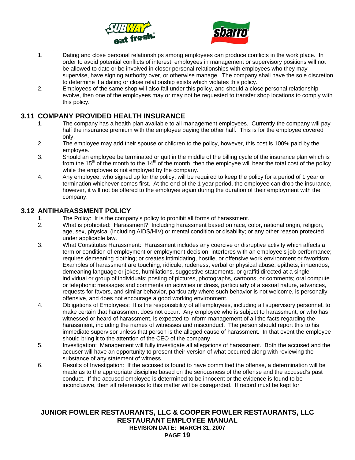



- **\_\_\_\_\_\_\_\_\_\_\_\_\_\_\_\_\_\_\_\_\_\_\_\_\_\_\_\_\_\_\_\_\_\_\_\_\_\_\_\_\_\_\_\_\_\_\_\_\_\_\_\_\_\_\_\_\_\_\_\_\_\_\_\_\_\_\_\_\_\_\_\_\_\_\_\_\_\_\_\_**  1. Dating and close personal relationships among employees can produce conflicts in the work place. In order to avoid potential conflicts of interest, employees in management or supervisory positions will not be allowed to date or be involved in closer personal relationships with employees who they may supervise, have signing authority over, or otherwise manage. The company shall have the sole discretion to determine if a dating or close relationship exists which violates this policy.
	- 2. Employees of the same shop will also fall under this policy, and should a close personal relationship evolve, then one of the employees may or may not be requested to transfer shop locations to comply with this policy.

## **3.11 COMPANY PROVIDED HEALTH INSURANCE**

- 1. The company has a health plan available to all management employees. Currently the company will pay half the insurance premium with the employee paying the other half. This is for the employee covered only.
- 2. The employee may add their spouse or children to the policy, however, this cost is 100% paid by the employee.
- 3. Should an employee be terminated or quit in the middle of the billing cycle of the insurance plan which is from the 15<sup>th</sup> of the month to the 14<sup>th</sup> of the month, then the employee will bear the total cost of the policy while the employee is not employed by the company.
- 4. Any employee, who signed up for the policy, will be required to keep the policy for a period of 1 year or termination whichever comes first. At the end of the 1 year period, the employee can drop the insurance, however, it will not be offered to the employee again during the duration of their employment with the company.

## **3.12 ANTIHARASSMENT POLICY**

- 1. The Policy: It is the company's policy to prohibit all forms of harassment.
- 2. What is prohibited: Harassment? Including harassment based on race, color, national origin, religion, age, sex, physical (including AIDS/HIV) or mental condition or disability; or any other reason protected under applicable law.
- 3. What Constitutes Harassment: Harassment includes any coercive or disruptive activity which affects a term or condition of employment or employment decision; interferes with an employee's job performance; requires demeaning clothing; or creates intimidating, hostile, or offensive work environment or favoritism. Examples of harassment are touching, ridicule, rudeness, verbal or physical abuse, epithets, innuendos, demeaning language or jokes, humiliations, suggestive statements, or graffiti directed at a single individual or group of individuals; posting of pictures, photographs, cartoons, or comments; oral compute or telephonic messages and comments on activities or dress, particularly of a sexual nature, advances, requests for favors, and similar behavior, particularly where such behavior is not welcome, is personally offensive, and does not encourage a good working environment.
- 4. Obligations of Employees: It is the responsibility of all employees, including all supervisory personnel, to make certain that harassment does not occur. Any employee who is subject to harassment, or who has witnessed or heard of harassment, is expected to inform management of all the facts regarding the harassment, including the names of witnesses and misconduct. The person should report this to his immediate supervisor unless that person is the alleged cause of harassment. In that event the employee should bring it to the attention of the CEO of the company.
- 5. Investigation: Management will fully investigate all allegations of harassment. Both the accused and the accuser will have an opportunity to present their version of what occurred along with reviewing the substance of any statement of witness.
- 6. Results of Investigation: If the accused is found to have committed the offense, a determination will be made as to the appropriate discipline based on the seriousness of the offense and the accused's past conduct. If the accused employee is determined to be innocent or the evidence is found to be inconclusive, then all references to this matter will be disregarded. If record must be kept for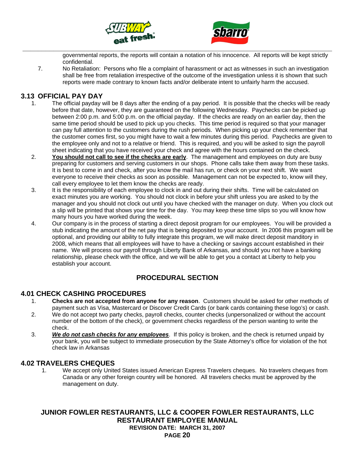



governmental reports, the reports will contain a notation of his innocence. All reports will be kept strictly confidential.

7. No Retaliation: Persons who file a complaint of harassment or act as witnesses in such an investigation shall be free from retaliation irrespective of the outcome of the investigation unless it is shown that such reports were made contrary to known facts and/or deliberate intent to unfairly harm the accused.

## **3.13 OFFICIAL PAY DAY**

- 1. The official payday will be 8 days after the ending of a pay period. It is possible that the checks will be ready before that date, however, they are guaranteed on the following Wednesday. Paychecks can be picked up between 2:00 p.m. and 5:00 p.m. on the official payday. If the checks are ready on an earlier day, then the same time period should be used to pick up you checks. This time period is required so that your manager can pay full attention to the customers during the rush periods. When picking up your check remember that the customer comes first, so you might have to wait a few minutes during this period. Paychecks are given to the employee only and not to a relative or friend. This is required, and you will be asked to sign the payroll sheet indicating that you have received your check and agree with the hours contained on the check.
- 2. **You should not call to see if the checks are early**. The management and employees on duty are busy preparing for customers and serving customers in our shops. Phone calls take them away from these tasks. It is best to come in and check, after you know the mail has run, or check on your next shift. We want everyone to receive their checks as soon as possible. Management can not be expected to, know will they, call every employee to let them know the checks are ready.
- 3. It is the responsibility of each employee to clock in and out during their shifts. Time will be calculated on exact minutes you are working. You should not clock in before your shift unless you are asked to by the manager and you should not clock out until you have checked with the manager on duty. When you clock out a slip will be printed that shows your time for the day. You may keep these time slips so you will know how many hours you have worked during the week.
- 4. Our company is in the process of starting a direct deposit program for our employees. You will be provided a stub indicating the amount of the net pay that is being deposited to your account. In 2006 this program will be optional, and providing our ability to fully integrate this program, we will make direct deposit manditory in 2008, which means that all employees will have to have a checking or savings account established in their name. We will process our payroll through Liberty Bank of Arkansas, and should you not have a banking relationship, please check with the office, and we will be able to get you a contact at Liberty to help you establish your account.

# **PROCEDURAL SECTION**

## **4.01 CHECK CASHING PROCEDURES**

- 1. **Checks are not accepted from anyone for any reason**. Customers should be asked for other methods of payment such as Visa, Mastercard or Discover Credit Cards (or bank cards containing these logo's) or cash.
- 2. We do not accept two party checks, payroll checks, counter checks (unpersonalized or without the account number of the bottom of the check), or government checks regardless of the person wanting to write the check.
- 3. *We do not cash checks for any employees*. If this policy is broken, and the check is returned unpaid by your bank, you will be subject to immediate prosecution by the State Attorney's office for violation of the hot check law in Arkansas

## **4.02 TRAVELERS CHEQUES**

1. We accept only United States issued American Express Travelers cheques. No travelers cheques from Canada or any other foreign country will be honored. All travelers checks must be approved by the management on duty.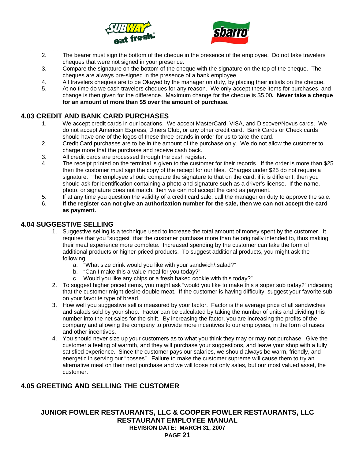



- 2. The bearer must sign the bottom of the cheque in the presence of the employee. Do not take travelers cheques that were not signed in your presence.
- 3. Compare the signature on the bottom of the cheque with the signature on the top of the cheque. The cheques are always pre-signed in the presence of a bank employee.
- 4. All travelers cheques are to be Okayed by the manager on duty, by placing their initials on the cheque.
- 5. At no time do we cash travelers cheques for any reason. We only accept these items for purchases, and change is then given for the difference. Maximum change for the cheque is \$5.00**. Never take a cheque for an amount of more than \$5 over the amount of purchase.**

## **4.03 CREDIT AND BANK CARD PURCHASES**

- 1. We accept credit cards in our locations. We accept MasterCard, VISA, and Discover/Novus cards. We do not accept American Express, Diners Club, or any other credit card. Bank Cards or Check cards should have one of the logos of these three brands in order for us to take the card.
- 2. Credit Card purchases are to be in the amount of the purchase only. We do not allow the customer to charge more that the purchase and receive cash back.
- 3. All credit cards are processed through the cash register.
- 4. The receipt printed on the terminal is given to the customer for their records. If the order is more than \$25 then the customer must sign the copy of the receipt for our files. Charges under \$25 do not require a signature. The employee should compare the signature to that on the card, if it is different, then you should ask for identification containing a photo and signature such as a driver's license. If the name, photo, or signature does not match, then we can not accept the card as payment.
- 5. If at any time you question the validity of a credit card sale, call the manager on duty to approve the sale.
- 6. **If the register can not give an authorization number for the sale, then we can not accept the card as payment.**

## **4.04 SUGGESTIVE SELLING**

- 1. Suggestive selling is a technique used to increase the total amount of money spent by the customer. It requires that you "suggest" that the customer purchase more than he originally intended to, thus making their meal experience more complete. Increased spending by the customer can take the form of additional products or higher-priced products. To suggest additional products, you might ask the following.
	- a. "What size drink would you like with your sandwich/.salad?"
	- b. "Can I make this a value meal for you today?"
	- c. Would you like any chips or a fresh baked cookie with this today?"
- 2. To suggest higher priced items, you might ask "would you like to make this a super sub today?" indicating that the customer might desire double meat. If the customer is having difficulty, suggest your favorite sub on your favorite type of bread.
- 3. How well you suggestive sell is measured by your factor. Factor is the average price of all sandwiches and salads sold by your shop. Factor can be calculated by taking the number of units and dividing this number into the net sales for the shift. By increasing the factor, you are increasing the profits of the company and allowing the company to provide more incentives to our employees, in the form of raises and other incentives.
- 4. You should never size up your customers as to what you think they may or may not purchase. Give the customer a feeling of warmth, and they will purchase your suggestions, and leave your shop with a fully satisfied experience. Since the customer pays our salaries, we should always be warm, friendly, and energetic in serving our "bosses". Failure to make the customer supreme will cause them to try an alternative meal on their next purchase and we will loose not only sales, but our most valued asset, the customer.

# **4.05 GREETING AND SELLING THE CUSTOMER**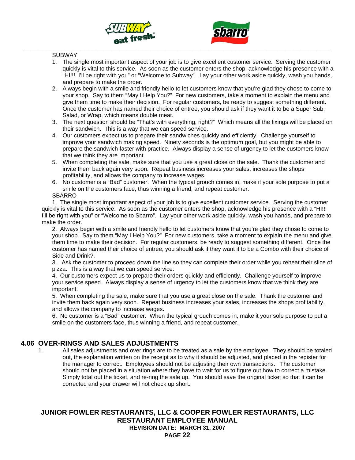



#### **\_\_\_\_\_\_\_\_\_\_\_\_\_\_\_\_\_\_\_\_\_\_\_\_\_\_\_\_\_\_\_\_\_\_\_\_\_\_\_\_\_\_\_\_\_\_\_\_\_\_\_\_\_\_\_\_\_\_\_\_\_\_\_\_\_\_\_\_\_\_\_\_\_\_\_\_\_\_\_\_**  SUBWAY

- 1. The single most important aspect of your job is to give excellent customer service. Serving the customer quickly is vital to this service. As soon as the customer enters the shop, acknowledge his presence with a "HI!!! I'll be right with you" or "Welcome to Subway". Lay your other work aside quickly, wash you hands, and prepare to make the order.
- 2. Always begin with a smile and friendly hello to let customers know that you're glad they chose to come to your shop. Say to them "May I Help You?" For new customers, take a moment to explain the menu and give them time to make their decision. For regular customers, be ready to suggest something different. Once the customer has named their choice of entree, you should ask if they want it to be a Super Sub, Salad, or Wrap, which means double meat.
- 3. The next question should be "That's with everything, right?" Which means all the fixings will be placed on their sandwich. This is a way that we can speed service.
- 4. Our customers expect us to prepare their sandwiches quickly and efficiently. Challenge yourself to improve your sandwich making speed. Ninety seconds is the optimum goal, but you might be able to prepare the sandwich faster with practice. Always display a sense of urgency to let the customers know that we think they are important.
- 5. When completing the sale, make sure that you use a great close on the sale. Thank the customer and invite them back again very soon. Repeat business increases your sales, increases the shops profitability, and allows the company to increase wages.
- 6. No customer is a "Bad" customer. When the typical grouch comes in, make it your sole purpose to put a smile on the customers face, thus winning a friend, and repeat customer.

#### SBARRO

1. The single most important aspect of your job is to give excellent customer service. Serving the customer quickly is vital to this service. As soon as the customer enters the shop, acknowledge his presence with a "HI!!! I'll be right with you" or "Welcome to Sbarro". Lay your other work aside quickly, wash you hands, and prepare to make the order.

2. Always begin with a smile and friendly hello to let customers know that you're glad they chose to come to your shop. Say to them "May I Help You?" For new customers, take a moment to explain the menu and give them time to make their decision. For regular customers, be ready to suggest something different. Once the customer has named their choice of entree, you should ask if they want it to be a Combo with their choice of Side and Drink?.

3. Ask the customer to proceed down the line so they can complete their order while you reheat their slice of pizza. This is a way that we can speed service.

4. Our customers expect us to prepare their orders quickly and efficiently. Challenge yourself to improve your service speed. Always display a sense of urgency to let the customers know that we think they are important.

5. When completing the sale, make sure that you use a great close on the sale. Thank the customer and invite them back again very soon. Repeat business increases your sales, increases the shops profitability, and allows the company to increase wages.

6. No customer is a "Bad" customer. When the typical grouch comes in, make it your sole purpose to put a smile on the customers face, thus winning a friend, and repeat customer.

## **4.06 OVER-RINGS AND SALES ADJUSTMENTS**

1. All sales adjustments and over rings are to be treated as a sale by the employee. They should be totaled out, the explanation written on the receipt as to why it should be adjusted, and placed in the register for the manager to correct. Employees should not be adjusting their own transactions. The customer should not be placed in a situation where they have to wait for us to figure out how to correct a mistake. Simply total out the ticket, and re-ring the sale up. You should save the original ticket so that it can be corrected and your drawer will not check up short.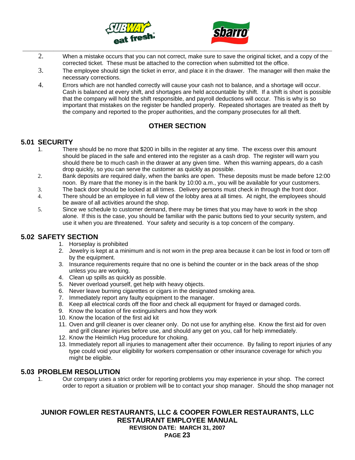



- 2. When a mistake occurs that you can not correct, make sure to save the original ticket, and a copy of the corrected ticket. These must be attached to the correction when submitted tot the office.
- 3. The employee should sign the ticket in error, and place it in the drawer. The manager will then make the necessary corrections.
- 4. Errors which are not handled correctly will cause your cash not to balance, and a shortage will occur. Cash is balanced at every shift, and shortages are held accountable by shift. If a shift is short is possible that the company will hold the shift responsible, and payroll deductions will occur. This is why is so important that mistakes on the register be handled properly. Repeated shortages are treated as theft by the company and reported to the proper authorities, and the company prosecutes for all theft.

# **OTHER SECTION**

## **5.01 SECURITY**

- 1. There should be no more that \$200 in bills in the register at any time. The excess over this amount should be placed in the safe and entered into the register as a cash drop. The register will warn you should there be to much cash in the drawer at any given time. When this warning appears, do a cash drop quickly, so you can serve the customer as quickly as possible.
- 2. Bank deposits are required daily, when the banks are open. These deposits must be made before 12:00 noon. By mare that the money is in the bank by 10:00 a.m., you will be available for your customers.
- 3. The back door should be locked at all times. Delivery persons must check in through the front door.
- 4. There should be an employee in full view of the lobby area at all times. At night, the employees should be aware of all activities around the shop.
- 5. Since we schedule to customer demand, there may be times that you may have to work in the shop alone. If this is the case, you should be familiar with the panic buttons tied to your security system, and use it when you are threatened. Your safety and security is a top concern of the company.

## **5.02 SAFETY SECTION**

- 1. Horseplay is prohibited
- 2. Jewelry is kept at a minimum and is not worn in the prep area because it can be lost in food or torn off by the equipment.
- 3. Insurance requirements require that no one is behind the counter or in the back areas of the shop unless you are working.
- 4. Clean up spills as quickly as possible.
- 5. Never overload yourself, get help with heavy objects.
- 6. Never leave burning cigarettes or cigars in the designated smoking area.
- 7. Immediately report any faulty equipment to the manager.
- 8. Keep all electrical cords off the floor and check all equipment for frayed or damaged cords.
- 9. Know the location of fire extinguishers and how they work
- 10. Know the location of the first aid kit
- 11. Oven and grill cleaner is over cleaner only. Do not use for anything else. Know the first aid for oven and grill cleaner injuries before use, and should any get on you, call for help immediately.
- 12. Know the Heimlich Hug procedure for choking.
- 13. Immediately report all injuries to management after their occurrence. By failing to report injuries of any type could void your eligibility for workers compensation or other insurance coverage for which you might be eligible.

## **5.03 PROBLEM RESOLUTION**

1. Our company uses a strict order for reporting problems you may experience in your shop. The correct order to report a situation or problem will be to contact your shop manager. Should the shop manager not